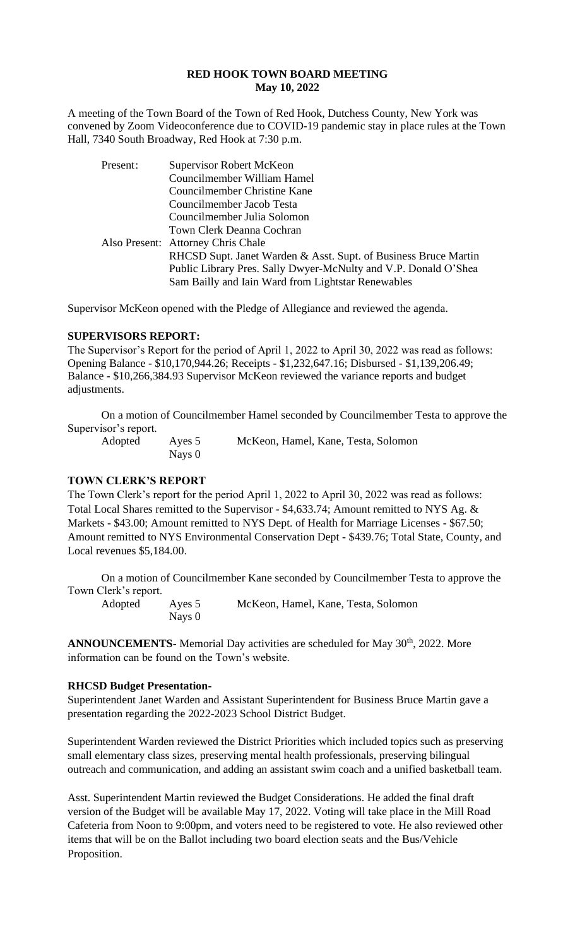### **RED HOOK TOWN BOARD MEETING May 10, 2022**

A meeting of the Town Board of the Town of Red Hook, Dutchess County, New York was convened by Zoom Videoconference due to COVID-19 pandemic stay in place rules at the Town Hall, 7340 South Broadway, Red Hook at 7:30 p.m.

| Present: | <b>Supervisor Robert McKeon</b>                                 |
|----------|-----------------------------------------------------------------|
|          | Councilmember William Hamel                                     |
|          | Councilmember Christine Kane                                    |
|          | Councilmember Jacob Testa                                       |
|          | Councilmember Julia Solomon                                     |
|          | Town Clerk Deanna Cochran                                       |
|          | Also Present: Attorney Chris Chale                              |
|          | RHCSD Supt. Janet Warden & Asst. Supt. of Business Bruce Martin |
|          | Public Library Pres. Sally Dwyer-McNulty and V.P. Donald O'Shea |
|          | Sam Bailly and Iain Ward from Lightstar Renewables              |
|          |                                                                 |

Supervisor McKeon opened with the Pledge of Allegiance and reviewed the agenda.

### **SUPERVISORS REPORT:**

The Supervisor's Report for the period of April 1, 2022 to April 30, 2022 was read as follows: Opening Balance - \$10,170,944.26; Receipts - \$1,232,647.16; Disbursed - \$1,139,206.49; Balance - \$10,266,384.93 Supervisor McKeon reviewed the variance reports and budget adjustments.

On a motion of Councilmember Hamel seconded by Councilmember Testa to approve the Supervisor's report.

Adopted Ayes 5 McKeon, Hamel, Kane, Testa, Solomon

### **TOWN CLERK'S REPORT**

Nays 0

The Town Clerk's report for the period April 1, 2022 to April 30, 2022 was read as follows: Total Local Shares remitted to the Supervisor - \$4,633.74; Amount remitted to NYS Ag. & Markets - \$43.00; Amount remitted to NYS Dept. of Health for Marriage Licenses - \$67.50; Amount remitted to NYS Environmental Conservation Dept - \$439.76; Total State, County, and Local revenues \$5,184.00.

On a motion of Councilmember Kane seconded by Councilmember Testa to approve the Town Clerk's report.

Nays 0

Adopted Ayes 5 McKeon, Hamel, Kane, Testa, Solomon

**ANNOUNCEMENTS-** Memorial Day activities are scheduled for May 30<sup>th</sup>, 2022. More information can be found on the Town's website.

#### **RHCSD Budget Presentation-**

Superintendent Janet Warden and Assistant Superintendent for Business Bruce Martin gave a presentation regarding the 2022-2023 School District Budget.

Superintendent Warden reviewed the District Priorities which included topics such as preserving small elementary class sizes, preserving mental health professionals, preserving bilingual outreach and communication, and adding an assistant swim coach and a unified basketball team.

Asst. Superintendent Martin reviewed the Budget Considerations. He added the final draft version of the Budget will be available May 17, 2022. Voting will take place in the Mill Road Cafeteria from Noon to 9:00pm, and voters need to be registered to vote. He also reviewed other items that will be on the Ballot including two board election seats and the Bus/Vehicle Proposition.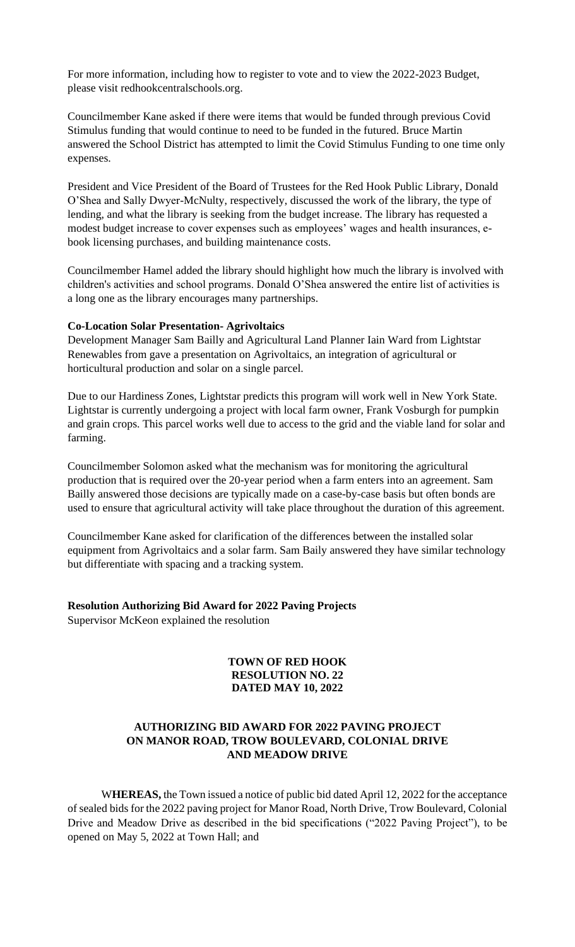For more information, including how to register to vote and to view the 2022-2023 Budget, please visit redhookcentralschools.org.

Councilmember Kane asked if there were items that would be funded through previous Covid Stimulus funding that would continue to need to be funded in the futured. Bruce Martin answered the School District has attempted to limit the Covid Stimulus Funding to one time only expenses.

President and Vice President of the Board of Trustees for the Red Hook Public Library, Donald O'Shea and Sally Dwyer-McNulty, respectively, discussed the work of the library, the type of lending, and what the library is seeking from the budget increase. The library has requested a modest budget increase to cover expenses such as employees' wages and health insurances, ebook licensing purchases, and building maintenance costs.

Councilmember Hamel added the library should highlight how much the library is involved with children's activities and school programs. Donald O'Shea answered the entire list of activities is a long one as the library encourages many partnerships.

### **Co-Location Solar Presentation- Agrivoltaics**

Development Manager Sam Bailly and Agricultural Land Planner Iain Ward from Lightstar Renewables from gave a presentation on Agrivoltaics, an integration of agricultural or horticultural production and solar on a single parcel.

Due to our Hardiness Zones, Lightstar predicts this program will work well in New York State. Lightstar is currently undergoing a project with local farm owner, Frank Vosburgh for pumpkin and grain crops. This parcel works well due to access to the grid and the viable land for solar and farming.

Councilmember Solomon asked what the mechanism was for monitoring the agricultural production that is required over the 20-year period when a farm enters into an agreement. Sam Bailly answered those decisions are typically made on a case-by-case basis but often bonds are used to ensure that agricultural activity will take place throughout the duration of this agreement.

Councilmember Kane asked for clarification of the differences between the installed solar equipment from Agrivoltaics and a solar farm. Sam Baily answered they have similar technology but differentiate with spacing and a tracking system.

#### **Resolution Authorizing Bid Award for 2022 Paving Projects**

Supervisor McKeon explained the resolution

### **TOWN OF RED HOOK RESOLUTION NO. 22 DATED MAY 10, 2022**

# **AUTHORIZING BID AWARD FOR 2022 PAVING PROJECT ON MANOR ROAD, TROW BOULEVARD, COLONIAL DRIVE AND MEADOW DRIVE**

W**HEREAS,** the Town issued a notice of public bid dated April 12, 2022 for the acceptance of sealed bids for the 2022 paving project for Manor Road, North Drive, Trow Boulevard, Colonial Drive and Meadow Drive as described in the bid specifications ("2022 Paving Project"), to be opened on May 5, 2022 at Town Hall; and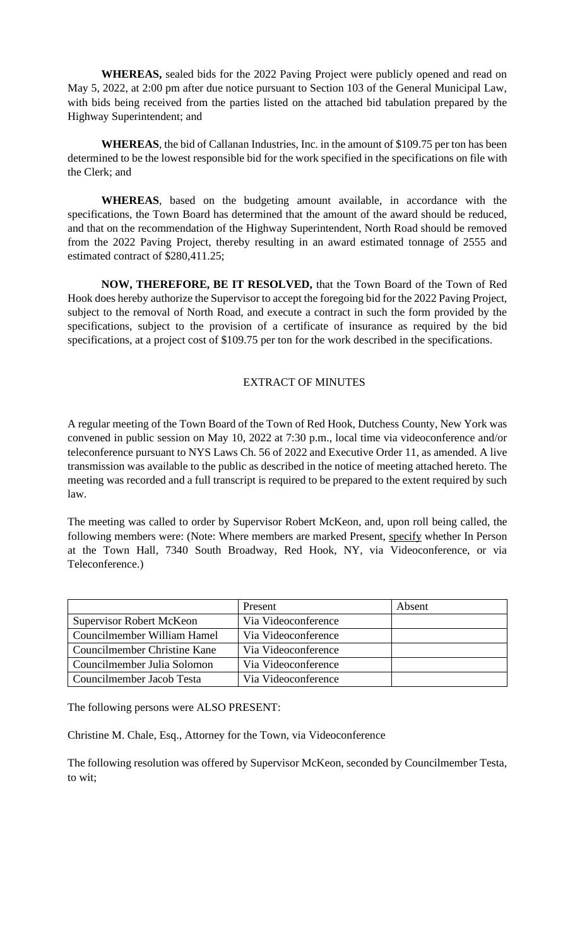**WHEREAS,** sealed bids for the 2022 Paving Project were publicly opened and read on May 5, 2022, at 2:00 pm after due notice pursuant to Section 103 of the General Municipal Law, with bids being received from the parties listed on the attached bid tabulation prepared by the Highway Superintendent; and

**WHEREAS**, the bid of Callanan Industries, Inc. in the amount of \$109.75 per ton has been determined to be the lowest responsible bid for the work specified in the specifications on file with the Clerk; and

**WHEREAS**, based on the budgeting amount available, in accordance with the specifications, the Town Board has determined that the amount of the award should be reduced, and that on the recommendation of the Highway Superintendent, North Road should be removed from the 2022 Paving Project, thereby resulting in an award estimated tonnage of 2555 and estimated contract of \$280,411.25;

**NOW, THEREFORE, BE IT RESOLVED,** that the Town Board of the Town of Red Hook does hereby authorize the Supervisor to accept the foregoing bid for the 2022 Paving Project, subject to the removal of North Road, and execute a contract in such the form provided by the specifications, subject to the provision of a certificate of insurance as required by the bid specifications, at a project cost of \$109.75 per ton for the work described in the specifications.

### EXTRACT OF MINUTES

A regular meeting of the Town Board of the Town of Red Hook, Dutchess County, New York was convened in public session on May 10, 2022 at 7:30 p.m., local time via videoconference and/or teleconference pursuant to NYS Laws Ch. 56 of 2022 and Executive Order 11, as amended. A live transmission was available to the public as described in the notice of meeting attached hereto. The meeting was recorded and a full transcript is required to be prepared to the extent required by such law.

The meeting was called to order by Supervisor Robert McKeon, and, upon roll being called, the following members were: (Note: Where members are marked Present, specify whether In Person at the Town Hall, 7340 South Broadway, Red Hook, NY, via Videoconference, or via Teleconference.)

|                                 | Present             | Absent |
|---------------------------------|---------------------|--------|
| <b>Supervisor Robert McKeon</b> | Via Videoconference |        |
| Councilmember William Hamel     | Via Videoconference |        |
| Councilmember Christine Kane    | Via Videoconference |        |
| Councilmember Julia Solomon     | Via Videoconference |        |
| Councilmember Jacob Testa       | Via Videoconference |        |

The following persons were ALSO PRESENT:

Christine M. Chale, Esq., Attorney for the Town, via Videoconference

The following resolution was offered by Supervisor McKeon, seconded by Councilmember Testa, to wit;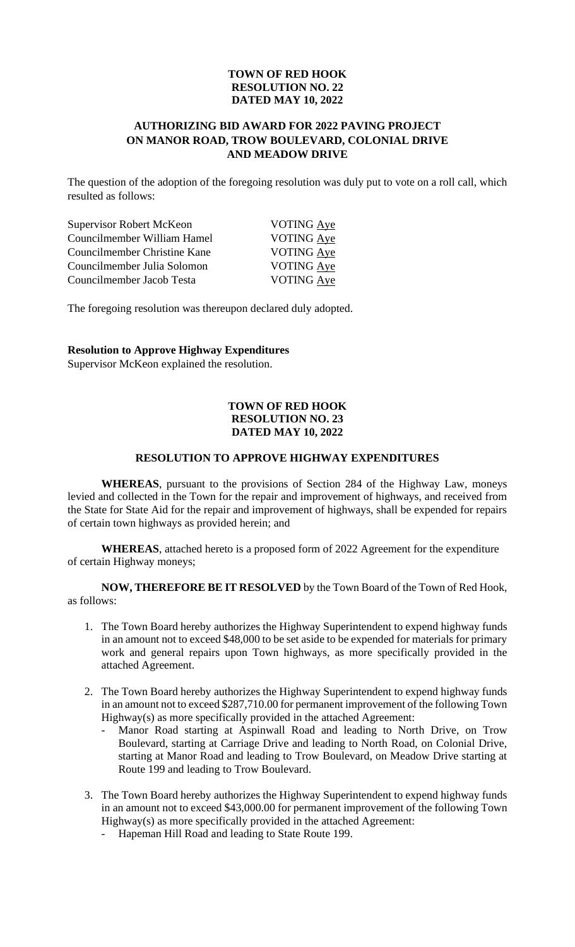### **TOWN OF RED HOOK RESOLUTION NO. 22 DATED MAY 10, 2022**

### **AUTHORIZING BID AWARD FOR 2022 PAVING PROJECT ON MANOR ROAD, TROW BOULEVARD, COLONIAL DRIVE AND MEADOW DRIVE**

The question of the adoption of the foregoing resolution was duly put to vote on a roll call, which resulted as follows:

| Supervisor Robert McKeon     | <b>VOTING Aye</b> |
|------------------------------|-------------------|
| Councilmember William Hamel  | VOTING Aye        |
| Councilmember Christine Kane | <b>VOTING Aye</b> |
| Councilmember Julia Solomon  | <b>VOTING Aye</b> |
| Councilmember Jacob Testa    | <b>VOTING Aye</b> |

The foregoing resolution was thereupon declared duly adopted.

### **Resolution to Approve Highway Expenditures**

Supervisor McKeon explained the resolution.

### **TOWN OF RED HOOK RESOLUTION NO. 23 DATED MAY 10, 2022**

### **RESOLUTION TO APPROVE HIGHWAY EXPENDITURES**

**WHEREAS**, pursuant to the provisions of Section 284 of the Highway Law, moneys levied and collected in the Town for the repair and improvement of highways, and received from the State for State Aid for the repair and improvement of highways, shall be expended for repairs of certain town highways as provided herein; and

**WHEREAS**, attached hereto is a proposed form of 2022 Agreement for the expenditure of certain Highway moneys;

**NOW, THEREFORE BE IT RESOLVED** by the Town Board of the Town of Red Hook, as follows:

- 1. The Town Board hereby authorizes the Highway Superintendent to expend highway funds in an amount not to exceed \$48,000 to be set aside to be expended for materials for primary work and general repairs upon Town highways, as more specifically provided in the attached Agreement.
- 2. The Town Board hereby authorizes the Highway Superintendent to expend highway funds in an amount not to exceed \$287,710.00 for permanent improvement of the following Town Highway(s) as more specifically provided in the attached Agreement:
	- Manor Road starting at Aspinwall Road and leading to North Drive, on Trow Boulevard, starting at Carriage Drive and leading to North Road, on Colonial Drive, starting at Manor Road and leading to Trow Boulevard, on Meadow Drive starting at Route 199 and leading to Trow Boulevard.
- 3. The Town Board hereby authorizes the Highway Superintendent to expend highway funds in an amount not to exceed \$43,000.00 for permanent improvement of the following Town Highway(s) as more specifically provided in the attached Agreement:
	- Hapeman Hill Road and leading to State Route 199.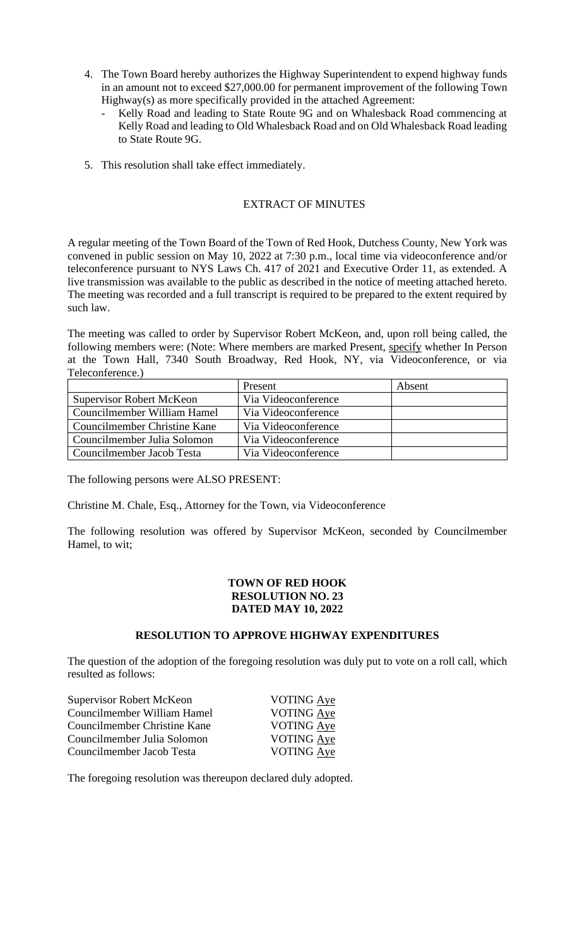- 4. The Town Board hereby authorizes the Highway Superintendent to expend highway funds in an amount not to exceed \$27,000.00 for permanent improvement of the following Town Highway(s) as more specifically provided in the attached Agreement:
	- Kelly Road and leading to State Route 9G and on Whalesback Road commencing at Kelly Road and leading to Old Whalesback Road and on Old Whalesback Road leading to State Route 9G.
- 5. This resolution shall take effect immediately.

# EXTRACT OF MINUTES

A regular meeting of the Town Board of the Town of Red Hook, Dutchess County, New York was convened in public session on May 10, 2022 at 7:30 p.m., local time via videoconference and/or teleconference pursuant to NYS Laws Ch. 417 of 2021 and Executive Order 11, as extended. A live transmission was available to the public as described in the notice of meeting attached hereto. The meeting was recorded and a full transcript is required to be prepared to the extent required by such law.

The meeting was called to order by Supervisor Robert McKeon, and, upon roll being called, the following members were: (Note: Where members are marked Present, specify whether In Person at the Town Hall, 7340 South Broadway, Red Hook, NY, via Videoconference, or via Teleconference.)

|                                 | Present             | Absent |
|---------------------------------|---------------------|--------|
| <b>Supervisor Robert McKeon</b> | Via Videoconference |        |
| Councilmember William Hamel     | Via Videoconference |        |
| Councilmember Christine Kane    | Via Videoconference |        |
| Councilmember Julia Solomon     | Via Videoconference |        |
| Councilmember Jacob Testa       | Via Videoconference |        |

The following persons were ALSO PRESENT:

Christine M. Chale, Esq., Attorney for the Town, via Videoconference

The following resolution was offered by Supervisor McKeon, seconded by Councilmember Hamel, to wit;

### **TOWN OF RED HOOK RESOLUTION NO. 23 DATED MAY 10, 2022**

### **RESOLUTION TO APPROVE HIGHWAY EXPENDITURES**

The question of the adoption of the foregoing resolution was duly put to vote on a roll call, which resulted as follows:

| Supervisor Robert McKeon     | VOTING Aye        |
|------------------------------|-------------------|
| Councilmember William Hamel  | VOTING Aye        |
| Councilmember Christine Kane | <b>VOTING Aye</b> |
| Councilmember Julia Solomon  | <b>VOTING Aye</b> |
| Councilmember Jacob Testa    | <b>VOTING Aye</b> |

The foregoing resolution was thereupon declared duly adopted.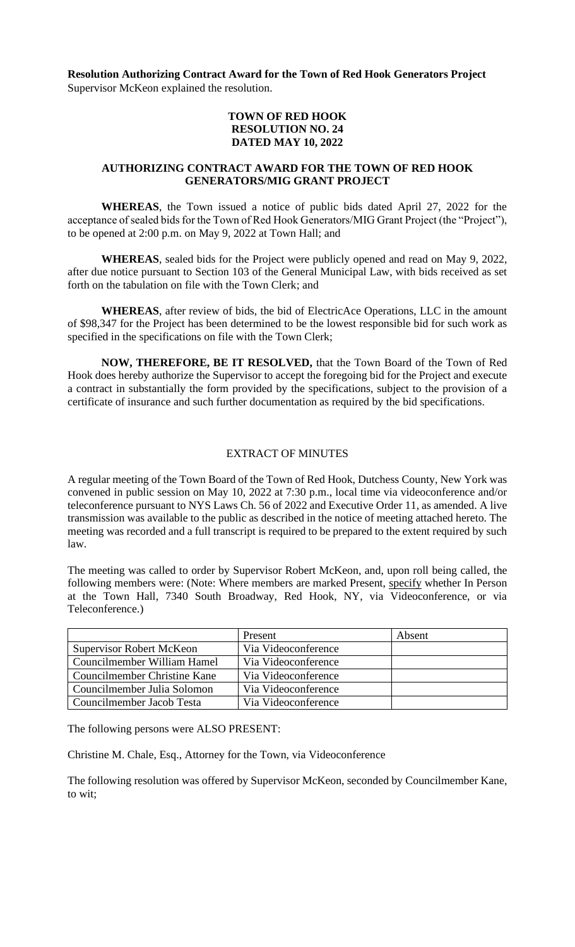**Resolution Authorizing Contract Award for the Town of Red Hook Generators Project** Supervisor McKeon explained the resolution.

### **TOWN OF RED HOOK RESOLUTION NO. 24 DATED MAY 10, 2022**

### **AUTHORIZING CONTRACT AWARD FOR THE TOWN OF RED HOOK GENERATORS/MIG GRANT PROJECT**

**WHEREAS**, the Town issued a notice of public bids dated April 27, 2022 for the acceptance of sealed bids for the Town of Red Hook Generators/MIG Grant Project (the "Project"), to be opened at 2:00 p.m. on May 9, 2022 at Town Hall; and

**WHEREAS**, sealed bids for the Project were publicly opened and read on May 9, 2022, after due notice pursuant to Section 103 of the General Municipal Law, with bids received as set forth on the tabulation on file with the Town Clerk; and

**WHEREAS**, after review of bids, the bid of ElectricAce Operations, LLC in the amount of \$98,347 for the Project has been determined to be the lowest responsible bid for such work as specified in the specifications on file with the Town Clerk;

**NOW, THEREFORE, BE IT RESOLVED,** that the Town Board of the Town of Red Hook does hereby authorize the Supervisor to accept the foregoing bid for the Project and execute a contract in substantially the form provided by the specifications, subject to the provision of a certificate of insurance and such further documentation as required by the bid specifications.

# EXTRACT OF MINUTES

A regular meeting of the Town Board of the Town of Red Hook, Dutchess County, New York was convened in public session on May 10, 2022 at 7:30 p.m., local time via videoconference and/or teleconference pursuant to NYS Laws Ch. 56 of 2022 and Executive Order 11, as amended. A live transmission was available to the public as described in the notice of meeting attached hereto. The meeting was recorded and a full transcript is required to be prepared to the extent required by such law.

The meeting was called to order by Supervisor Robert McKeon, and, upon roll being called, the following members were: (Note: Where members are marked Present, specify whether In Person at the Town Hall, 7340 South Broadway, Red Hook, NY, via Videoconference, or via Teleconference.)

|                                 | Present             | Absent |
|---------------------------------|---------------------|--------|
| <b>Supervisor Robert McKeon</b> | Via Videoconference |        |
| Councilmember William Hamel     | Via Videoconference |        |
| Councilmember Christine Kane    | Via Videoconference |        |
| Councilmember Julia Solomon     | Via Videoconference |        |
| Councilmember Jacob Testa       | Via Videoconference |        |

The following persons were ALSO PRESENT:

Christine M. Chale, Esq., Attorney for the Town, via Videoconference

The following resolution was offered by Supervisor McKeon, seconded by Councilmember Kane, to wit;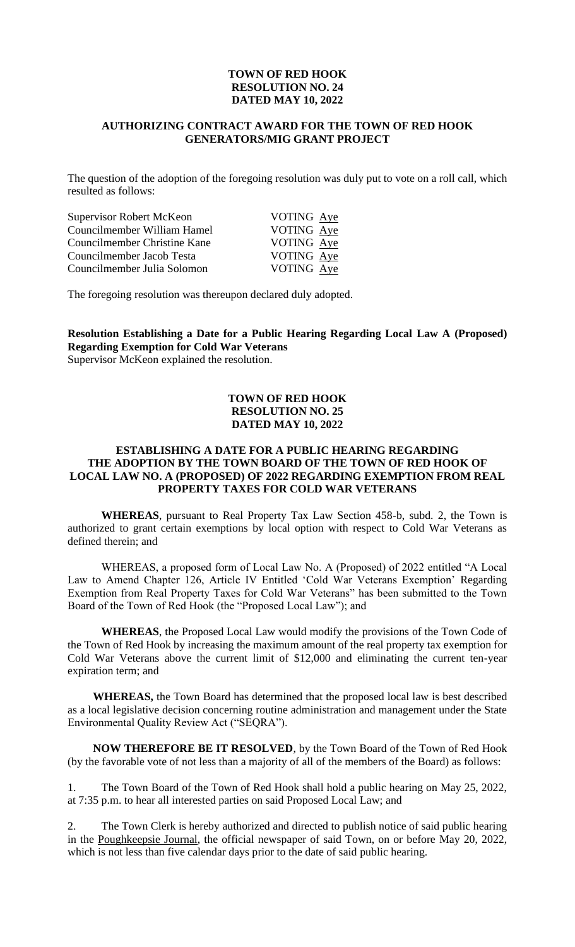### **TOWN OF RED HOOK RESOLUTION NO. 24 DATED MAY 10, 2022**

### **AUTHORIZING CONTRACT AWARD FOR THE TOWN OF RED HOOK GENERATORS/MIG GRANT PROJECT**

The question of the adoption of the foregoing resolution was duly put to vote on a roll call, which resulted as follows:

| Supervisor Robert McKeon     | VOTING Aye |
|------------------------------|------------|
| Councilmember William Hamel  | VOTING Aye |
| Councilmember Christine Kane | VOTING Aye |
| Councilmember Jacob Testa    | VOTING Aye |
| Councilmember Julia Solomon  | VOTING Aye |

The foregoing resolution was thereupon declared duly adopted.

# **Resolution Establishing a Date for a Public Hearing Regarding Local Law A (Proposed) Regarding Exemption for Cold War Veterans**

Supervisor McKeon explained the resolution.

### **TOWN OF RED HOOK RESOLUTION NO. 25 DATED MAY 10, 2022**

### **ESTABLISHING A DATE FOR A PUBLIC HEARING REGARDING THE ADOPTION BY THE TOWN BOARD OF THE TOWN OF RED HOOK OF LOCAL LAW NO. A (PROPOSED) OF 2022 REGARDING EXEMPTION FROM REAL PROPERTY TAXES FOR COLD WAR VETERANS**

**WHEREAS**, pursuant to Real Property Tax Law Section 458-b, subd. 2, the Town is authorized to grant certain exemptions by local option with respect to Cold War Veterans as defined therein; and

WHEREAS, a proposed form of Local Law No. A (Proposed) of 2022 entitled "A Local Law to Amend Chapter 126, Article IV Entitled 'Cold War Veterans Exemption' Regarding Exemption from Real Property Taxes for Cold War Veterans" has been submitted to the Town Board of the Town of Red Hook (the "Proposed Local Law"); and

**WHEREAS**, the Proposed Local Law would modify the provisions of the Town Code of the Town of Red Hook by increasing the maximum amount of the real property tax exemption for Cold War Veterans above the current limit of \$12,000 and eliminating the current ten-year expiration term; and

**WHEREAS,** the Town Board has determined that the proposed local law is best described as a local legislative decision concerning routine administration and management under the State Environmental Quality Review Act ("SEQRA").

**NOW THEREFORE BE IT RESOLVED**, by the Town Board of the Town of Red Hook (by the favorable vote of not less than a majority of all of the members of the Board) as follows:

1. The Town Board of the Town of Red Hook shall hold a public hearing on May 25, 2022, at 7:35 p.m. to hear all interested parties on said Proposed Local Law; and

The Town Clerk is hereby authorized and directed to publish notice of said public hearing in the Poughkeepsie Journal, the official newspaper of said Town, on or before May 20, 2022, which is not less than five calendar days prior to the date of said public hearing.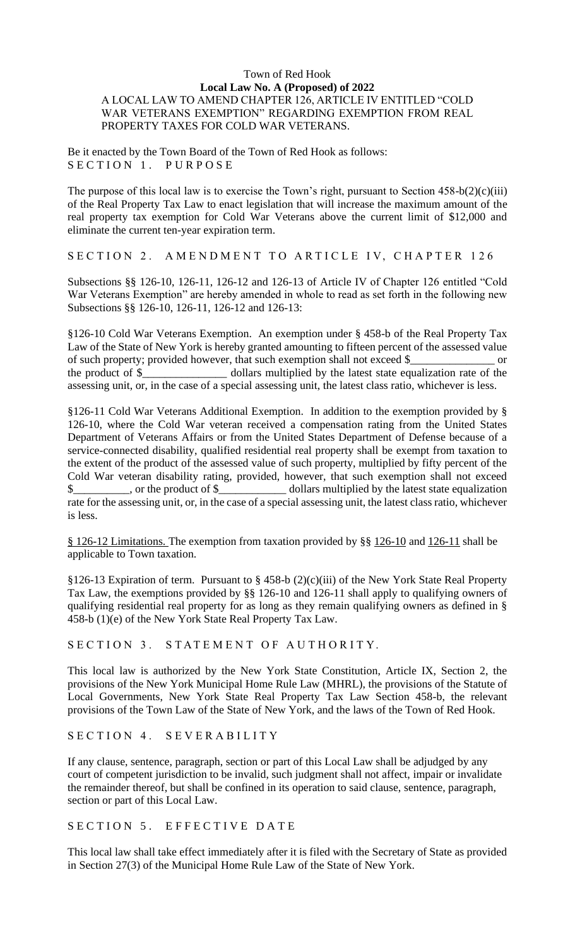### Town of Red Hook **Local Law No. A (Proposed) of 2022** A LOCAL LAW TO AMEND CHAPTER 126, ARTICLE IV ENTITLED "COLD WAR VETERANS EXEMPTION" REGARDING EXEMPTION FROM REAL PROPERTY TAXES FOR COLD WAR VETERANS.

Be it enacted by the Town Board of the Town of Red Hook as follows: SECTION 1. PURPOSE

The purpose of this local law is to exercise the Town's right, pursuant to Section  $458-b(2)(c)(iii)$ of the Real Property Tax Law to enact legislation that will increase the maximum amount of the real property tax exemption for Cold War Veterans above the current limit of \$12,000 and eliminate the current ten-year expiration term.

SECTION 2. AMENDMENT TO ARTICLE IV, CHAPTER 126

Subsections §§ 126-10, 126-11, 126-12 and 126-13 of Article IV of Chapter 126 entitled "Cold War Veterans Exemption" are hereby amended in whole to read as set forth in the following new Subsections §§ 126-10, 126-11, 126-12 and 126-13:

§126-10 Cold War Veterans Exemption. An exemption under § 458-b of the Real Property Tax Law of the State of New York is hereby granted amounting to fifteen percent of the assessed value of such property; provided however, that such exemption shall not exceed \$\_\_\_\_\_\_\_\_\_\_\_\_\_\_\_ or the product of \$\_\_\_\_\_\_\_\_\_\_\_\_\_\_\_ dollars multiplied by the latest state equalization rate of the assessing unit, or, in the case of a special assessing unit, the latest class ratio, whichever is less.

§126-11 Cold War Veterans Additional Exemption. In addition to the exemption provided by § 126-10, where the Cold War veteran received a compensation rating from the United States Department of Veterans Affairs or from the United States Department of Defense because of a service-connected disability, qualified residential real property shall be exempt from taxation to the extent of the product of the assessed value of such property, multiplied by fifty percent of the Cold War veteran disability rating, provided, however, that such exemption shall not exceed  $\$\$ , or the product of  $\$\$  dollars multiplied by the latest state equalization rate for the assessing unit, or, in the case of a special assessing unit, the latest class ratio, whichever is less.

§ [126-12 Limitations. T](https://ecode360.com/12392588#12392587)he exemption from taxation provided by §§ [126-10](https://ecode360.com/12392585#12392585) and [126-11](https://ecode360.com/12392586#12392586) shall be applicable to Town taxation.

§126-13 Expiration of term. Pursuant to § 458-b (2)(c)(iii) of the New York State Real Property Tax Law, the exemptions provided by §§ 126-10 and 126-11 shall apply to qualifying owners of qualifying residential real property for as long as they remain qualifying owners as defined in § 458-b (1)(e) of the New York State Real Property Tax Law.

SECTION 3. STATEMENT OF AUTHORITY.

This local law is authorized by the New York State Constitution, Article IX, Section 2, the provisions of the New York Municipal Home Rule Law (MHRL), the provisions of the Statute of Local Governments, New York State Real Property Tax Law Section 458-b, the relevant provisions of the Town Law of the State of New York, and the laws of the Town of Red Hook.

SECTION 4. SEVERABILITY

If any clause, sentence, paragraph, section or part of this Local Law shall be adjudged by any court of competent jurisdiction to be invalid, such judgment shall not affect, impair or invalidate the remainder thereof, but shall be confined in its operation to said clause, sentence, paragraph, section or part of this Local Law.

SECTION 5. EFFECTIVE DATE

This local law shall take effect immediately after it is filed with the Secretary of State as provided in Section 27(3) of the Municipal Home Rule Law of the State of New York.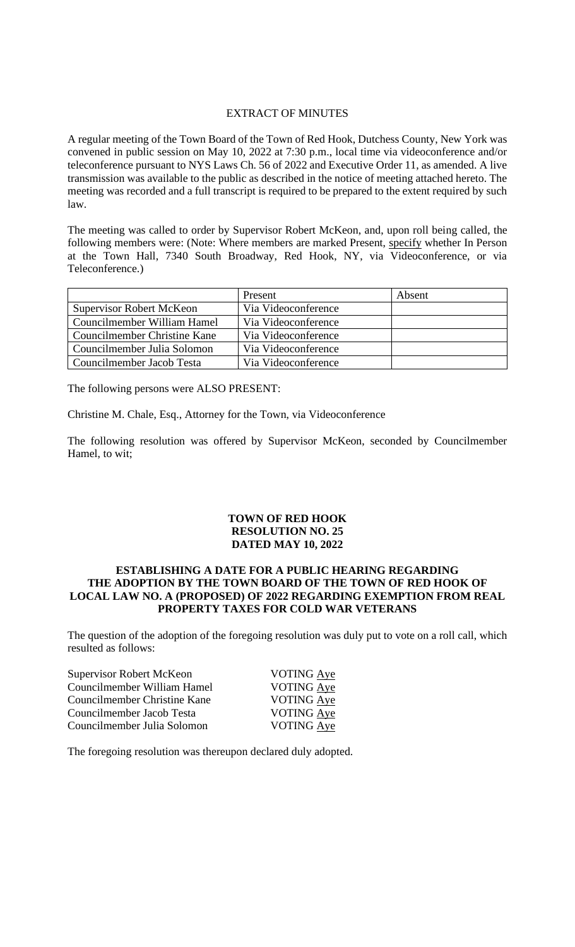### EXTRACT OF MINUTES

A regular meeting of the Town Board of the Town of Red Hook, Dutchess County, New York was convened in public session on May 10, 2022 at 7:30 p.m., local time via videoconference and/or teleconference pursuant to NYS Laws Ch. 56 of 2022 and Executive Order 11, as amended. A live transmission was available to the public as described in the notice of meeting attached hereto. The meeting was recorded and a full transcript is required to be prepared to the extent required by such law.

The meeting was called to order by Supervisor Robert McKeon, and, upon roll being called, the following members were: (Note: Where members are marked Present, specify whether In Person at the Town Hall, 7340 South Broadway, Red Hook, NY, via Videoconference, or via Teleconference.)

|                                 | Present             | Absent |
|---------------------------------|---------------------|--------|
| <b>Supervisor Robert McKeon</b> | Via Videoconference |        |
| Councilmember William Hamel     | Via Videoconference |        |
| Councilmember Christine Kane    | Via Videoconference |        |
| Councilmember Julia Solomon     | Via Videoconference |        |
| Councilmember Jacob Testa       | Via Videoconference |        |

The following persons were ALSO PRESENT:

Christine M. Chale, Esq., Attorney for the Town, via Videoconference

The following resolution was offered by Supervisor McKeon, seconded by Councilmember Hamel, to wit;

### **TOWN OF RED HOOK RESOLUTION NO. 25 DATED MAY 10, 2022**

### **ESTABLISHING A DATE FOR A PUBLIC HEARING REGARDING THE ADOPTION BY THE TOWN BOARD OF THE TOWN OF RED HOOK OF LOCAL LAW NO. A (PROPOSED) OF 2022 REGARDING EXEMPTION FROM REAL PROPERTY TAXES FOR COLD WAR VETERANS**

The question of the adoption of the foregoing resolution was duly put to vote on a roll call, which resulted as follows:

| <b>Supervisor Robert McKeon</b> | VOTING Aye        |
|---------------------------------|-------------------|
| Councilmember William Hamel     | VOTING Aye        |
| Councilmember Christine Kane    | VOTING Aye        |
| Councilmember Jacob Testa       | VOTING Aye        |
| Councilmember Julia Solomon     | <b>VOTING Aye</b> |
|                                 |                   |

The foregoing resolution was thereupon declared duly adopted.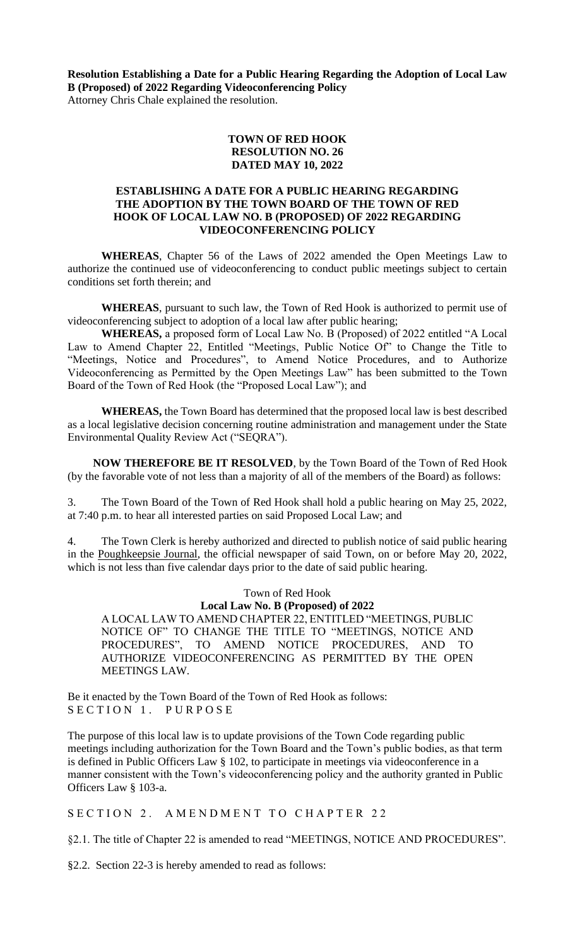**Resolution Establishing a Date for a Public Hearing Regarding the Adoption of Local Law B (Proposed) of 2022 Regarding Videoconferencing Policy**  Attorney Chris Chale explained the resolution.

> **TOWN OF RED HOOK RESOLUTION NO. 26 DATED MAY 10, 2022**

### **ESTABLISHING A DATE FOR A PUBLIC HEARING REGARDING THE ADOPTION BY THE TOWN BOARD OF THE TOWN OF RED HOOK OF LOCAL LAW NO. B (PROPOSED) OF 2022 REGARDING VIDEOCONFERENCING POLICY**

**WHEREAS**, Chapter 56 of the Laws of 2022 amended the Open Meetings Law to authorize the continued use of videoconferencing to conduct public meetings subject to certain conditions set forth therein; and

**WHEREAS**, pursuant to such law, the Town of Red Hook is authorized to permit use of videoconferencing subject to adoption of a local law after public hearing;

**WHEREAS,** a proposed form of Local Law No. B (Proposed) of 2022 entitled "A Local Law to Amend Chapter 22, Entitled "Meetings, Public Notice Of" to Change the Title to "Meetings, Notice and Procedures", to Amend Notice Procedures, and to Authorize Videoconferencing as Permitted by the Open Meetings Law" has been submitted to the Town Board of the Town of Red Hook (the "Proposed Local Law"); and

**WHEREAS,** the Town Board has determined that the proposed local law is best described as a local legislative decision concerning routine administration and management under the State Environmental Quality Review Act ("SEQRA").

**NOW THEREFORE BE IT RESOLVED**, by the Town Board of the Town of Red Hook (by the favorable vote of not less than a majority of all of the members of the Board) as follows:

3. The Town Board of the Town of Red Hook shall hold a public hearing on May 25, 2022, at 7:40 p.m. to hear all interested parties on said Proposed Local Law; and

4. The Town Clerk is hereby authorized and directed to publish notice of said public hearing in the Poughkeepsie Journal, the official newspaper of said Town, on or before May 20, 2022, which is not less than five calendar days prior to the date of said public hearing.

Town of Red Hook

### **Local Law No. B (Proposed) of 2022**

A LOCAL LAW TO AMEND CHAPTER 22, ENTITLED "MEETINGS, PUBLIC NOTICE OF" TO CHANGE THE TITLE TO "MEETINGS, NOTICE AND PROCEDURES", TO AMEND NOTICE PROCEDURES, AND TO AUTHORIZE VIDEOCONFERENCING AS PERMITTED BY THE OPEN MEETINGS LAW.

Be it enacted by the Town Board of the Town of Red Hook as follows: SECTION 1. PURPOSE

The purpose of this local law is to update provisions of the Town Code regarding public meetings including authorization for the Town Board and the Town's public bodies, as that term is defined in Public Officers Law § 102, to participate in meetings via videoconference in a manner consistent with the Town's videoconferencing policy and the authority granted in Public Officers Law § 103-a.

SECTION 2. AMENDMENT TO CHAPTER 22

§2.1. The title of Chapter 22 is amended to read "MEETINGS, NOTICE AND PROCEDURES".

§2.2. Section 22-3 is hereby amended to read as follows: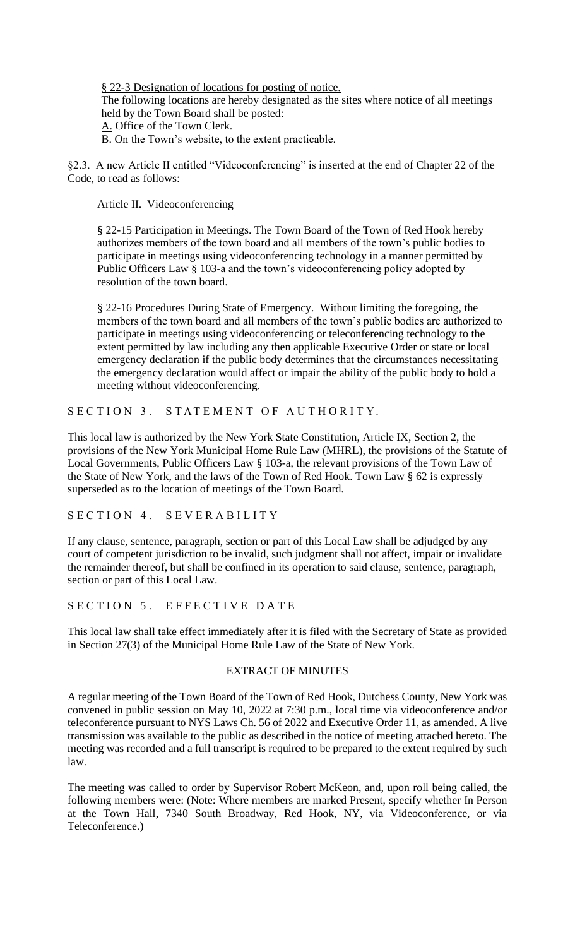§ 22-3 Designation of locations for posting of notice. The following locations are hereby designated as the sites where notice of all meetings held by the Town Board shall be posted: A. Office of the Town Clerk. B. On the Town's website, to the extent practicable.

§2.3. A new Article II entitled "Videoconferencing" is inserted at the end of Chapter 22 of the Code, to read as follows:

Article II. Videoconferencing

§ 22-15 Participation in Meetings. The Town Board of the Town of Red Hook hereby authorizes members of the town board and all members of the town's public bodies to participate in meetings using videoconferencing technology in a manner permitted by Public Officers Law § 103-a and the town's videoconferencing policy adopted by resolution of the town board.

§ 22-16 Procedures During State of Emergency. Without limiting the foregoing, the members of the town board and all members of the town's public bodies are authorized to participate in meetings using videoconferencing or teleconferencing technology to the extent permitted by law including any then applicable Executive Order or state or local emergency declaration if the public body determines that the circumstances necessitating the emergency declaration would affect or impair the ability of the public body to hold a meeting without videoconferencing.

SECTION 3. STATEMENT OF AUTHORITY.

This local law is authorized by the New York State Constitution, Article IX, Section 2, the provisions of the New York Municipal Home Rule Law (MHRL), the provisions of the Statute of Local Governments, Public Officers Law § 103-a, the relevant provisions of the Town Law of the State of New York, and the laws of the Town of Red Hook. Town Law § 62 is expressly superseded as to the location of meetings of the Town Board.

SECTION 4. SEVERABILITY

If any clause, sentence, paragraph, section or part of this Local Law shall be adjudged by any court of competent jurisdiction to be invalid, such judgment shall not affect, impair or invalidate the remainder thereof, but shall be confined in its operation to said clause, sentence, paragraph, section or part of this Local Law.

SECTION 5. EFFECTIVE DATE

This local law shall take effect immediately after it is filed with the Secretary of State as provided in Section 27(3) of the Municipal Home Rule Law of the State of New York.

#### EXTRACT OF MINUTES

A regular meeting of the Town Board of the Town of Red Hook, Dutchess County, New York was convened in public session on May 10, 2022 at 7:30 p.m., local time via videoconference and/or teleconference pursuant to NYS Laws Ch. 56 of 2022 and Executive Order 11, as amended. A live transmission was available to the public as described in the notice of meeting attached hereto. The meeting was recorded and a full transcript is required to be prepared to the extent required by such law.

The meeting was called to order by Supervisor Robert McKeon, and, upon roll being called, the following members were: (Note: Where members are marked Present, specify whether In Person at the Town Hall, 7340 South Broadway, Red Hook, NY, via Videoconference, or via Teleconference.)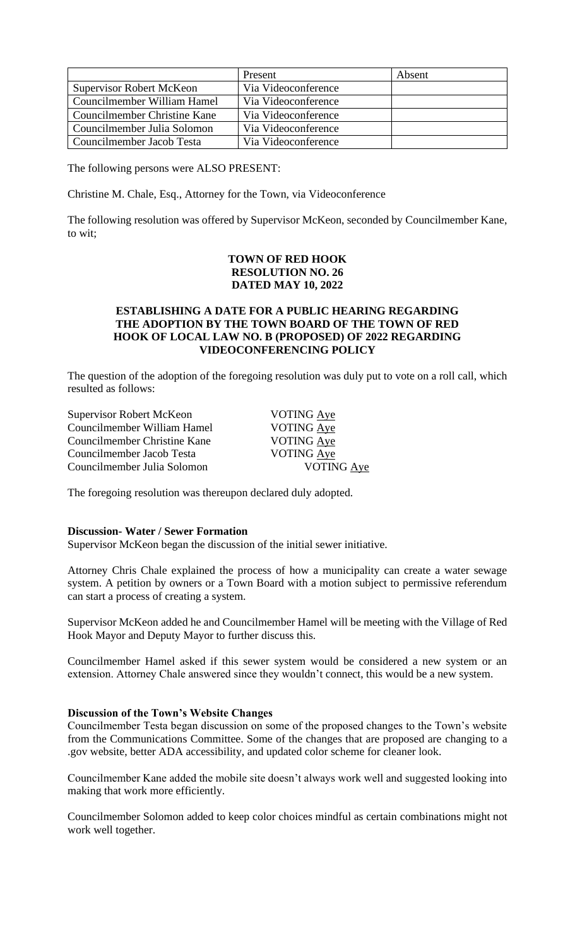|                                 | Present             | Absent |
|---------------------------------|---------------------|--------|
| <b>Supervisor Robert McKeon</b> | Via Videoconference |        |
| Councilmember William Hamel     | Via Videoconference |        |
| Councilmember Christine Kane    | Via Videoconference |        |
| Councilmember Julia Solomon     | Via Videoconference |        |
| Councilmember Jacob Testa       | Via Videoconference |        |

The following persons were ALSO PRESENT:

Christine M. Chale, Esq., Attorney for the Town, via Videoconference

The following resolution was offered by Supervisor McKeon, seconded by Councilmember Kane, to wit;

# **TOWN OF RED HOOK RESOLUTION NO. 26 DATED MAY 10, 2022**

### **ESTABLISHING A DATE FOR A PUBLIC HEARING REGARDING THE ADOPTION BY THE TOWN BOARD OF THE TOWN OF RED HOOK OF LOCAL LAW NO. B (PROPOSED) OF 2022 REGARDING VIDEOCONFERENCING POLICY**

The question of the adoption of the foregoing resolution was duly put to vote on a roll call, which resulted as follows:

| <b>Supervisor Robert McKeon</b> | VOTING Aye        |
|---------------------------------|-------------------|
| Councilmember William Hamel     | VOTING Aye        |
| Councilmember Christine Kane    | <b>VOTING Aye</b> |
| Councilmember Jacob Testa       | <b>VOTING Aye</b> |
| Councilmember Julia Solomon     | <b>VOTING Aye</b> |
|                                 |                   |

The foregoing resolution was thereupon declared duly adopted.

#### **Discussion- Water / Sewer Formation**

Supervisor McKeon began the discussion of the initial sewer initiative.

Attorney Chris Chale explained the process of how a municipality can create a water sewage system. A petition by owners or a Town Board with a motion subject to permissive referendum can start a process of creating a system.

Supervisor McKeon added he and Councilmember Hamel will be meeting with the Village of Red Hook Mayor and Deputy Mayor to further discuss this.

Councilmember Hamel asked if this sewer system would be considered a new system or an extension. Attorney Chale answered since they wouldn't connect, this would be a new system.

### **Discussion of the Town's Website Changes**

Councilmember Testa began discussion on some of the proposed changes to the Town's website from the Communications Committee. Some of the changes that are proposed are changing to a .gov website, better ADA accessibility, and updated color scheme for cleaner look.

Councilmember Kane added the mobile site doesn't always work well and suggested looking into making that work more efficiently.

Councilmember Solomon added to keep color choices mindful as certain combinations might not work well together.